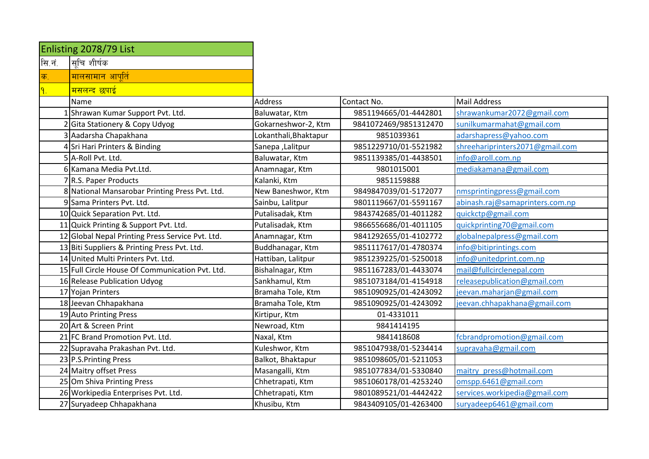|               | Enlisting 2078/79 List                           |                       |                       |                                 |
|---------------|--------------------------------------------------|-----------------------|-----------------------|---------------------------------|
| सि.नं.        | सचि शीर्षक                                       |                       |                       |                                 |
| क.            | <mark>मालसामान आपूर्त</mark> ि                   |                       |                       |                                 |
| $\mathsf{P}.$ | <mark>मसलन्द छपाई</mark>                         |                       |                       |                                 |
|               | Name                                             | <b>Address</b>        | Contact No.           | <b>Mail Address</b>             |
|               | Shrawan Kumar Support Pvt. Ltd.                  | Baluwatar, Ktm        | 9851194665/01-4442801 | shrawankumar2072@gmail.com      |
|               | 2 Gita Stationery & Copy Udyog                   | Gokarneshwor-2, Ktm   | 9841072469/9851312470 | sunilkumarmahat@gmail.com       |
|               | 3 Aadarsha Chapakhana                            | Lokanthali, Bhaktapur | 9851039361            | adarshapress@yahoo.com          |
|               | 4 Sri Hari Printers & Binding                    | Sanepa, Lalitpur      | 9851229710/01-5521982 | shreehariprinters2071@gmail.com |
|               | 5 A-Roll Pvt. Ltd.                               | Baluwatar, Ktm        | 9851139385/01-4438501 | info@aroll.com.np               |
|               | 6 Kamana Media Pvt.Ltd.                          | Anamnagar, Ktm        | 9801015001            | mediakamana@gmail.com           |
|               | 7 R.S. Paper Products                            | Kalanki, Ktm          | 9851159888            |                                 |
|               | 8 National Mansarobar Printing Press Pvt. Ltd.   | New Baneshwor, Ktm    | 9849847039/01-5172077 | nmsprintingpress@gmail.com      |
|               | 9 Sama Printers Pvt. Ltd.                        | Sainbu, Lalitpur      | 9801119667/01-5591167 | abinash.raj@samaprinters.com.np |
|               | 10 Quick Separation Pvt. Ltd.                    | Putalisadak, Ktm      | 9843742685/01-4011282 | quickctp@gmail.com              |
|               | 11 Quick Printing & Support Pvt. Ltd.            | Putalisadak, Ktm      | 9866556686/01-4011105 | quickprinting70@gmail.com       |
|               | 12 Global Nepal Printing Press Service Pvt. Ltd. | Anamnagar, Ktm        | 9841292655/01-4102772 | globalnepalpress@gmail.com      |
|               | 13 Biti Suppliers & Printing Press Pvt. Ltd.     | Buddhanagar, Ktm      | 9851117617/01-4780374 | info@bitiprintings.com          |
|               | 14 United Multi Printers Pvt. Ltd.               | Hattiban, Lalitpur    | 9851239225/01-5250018 | info@unitedprint.com.np         |
|               | 15 Full Circle House Of Communication Pvt. Ltd.  | Bishalnagar, Ktm      | 9851167283/01-4433074 | mail@fullcirclenepal.com        |
|               | 16 Release Publication Udyog                     | Sankhamul, Ktm        | 9851073184/01-4154918 | releasepublication@gmail.com    |
|               | 17 Yojan Printers                                | Bramaha Tole, Ktm     | 9851090925/01-4243092 | jeevan.maharjan@gmail.com       |
|               | 18 Jeevan Chhapakhana                            | Bramaha Tole, Ktm     | 9851090925/01-4243092 | jeevan.chhapakhana@gmail.com    |
|               | 19 Auto Printing Press                           | Kirtipur, Ktm         | 01-4331011            |                                 |
|               | 20 Art & Screen Print                            | Newroad, Ktm          | 9841414195            |                                 |
|               | 21 FC Brand Promotion Pvt. Ltd.                  | Naxal, Ktm            | 9841418608            | fcbrandpromotion@gmail.com      |
|               | 22 Supravaha Prakashan Pvt. Ltd.                 | Kuleshwor, Ktm        | 9851047938/01-5234414 | supravaha@gmail.com             |
|               | 23 P.S. Printing Press                           | Balkot, Bhaktapur     | 9851098605/01-5211053 |                                 |
|               | 24 Maitry offset Press                           | Masangalli, Ktm       | 9851077834/01-5330840 | maitry press@hotmail.com        |
|               | 25 Om Shiva Printing Press                       | Chhetrapati, Ktm      | 9851060178/01-4253240 | omspp.6461@gmail.com            |
|               | 26 Workipedia Enterprises Pvt. Ltd.              | Chhetrapati, Ktm      | 9801089521/01-4442422 | services.workipedia@gmail.com   |
|               | 27 Suryadeep Chhapakhana                         | Khusibu, Ktm          | 9843409105/01-4263400 | suryadeep6461@gmail.com         |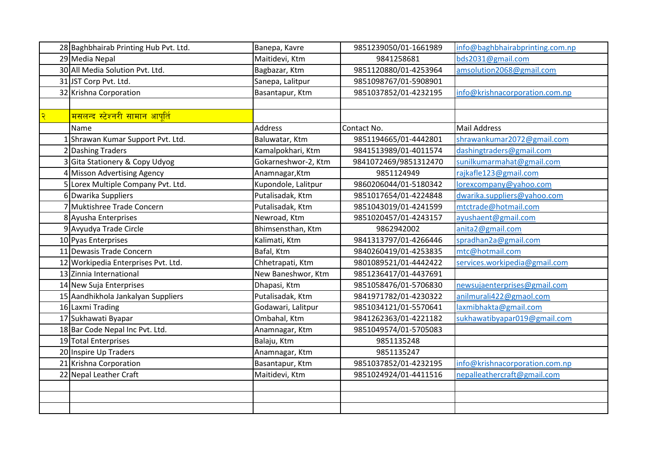|   | 28 Baghbhairab Printing Hub Pvt. Ltd. | Banepa, Kavre       | 9851239050/01-1661989 | info@baghbhairabprinting.com.np |
|---|---------------------------------------|---------------------|-----------------------|---------------------------------|
|   | 29 Media Nepal                        | Maitidevi, Ktm      | 9841258681            | bds2031@gmail.com               |
|   | 30 All Media Solution Pvt. Ltd.       | Bagbazar, Ktm       | 9851120880/01-4253964 | amsolution2068@gmail.com        |
|   | 31 JST Corp Pvt. Ltd.                 | Sanepa, Lalitpur    | 9851098767/01-5908901 |                                 |
|   | 32 Krishna Corporation                | Basantapur, Ktm     | 9851037852/01-4232195 | info@krishnacorporation.com.np  |
|   |                                       |                     |                       |                                 |
| २ | <u>मसलन्द स्टेश्नरी सामान आपूर्ति</u> |                     |                       |                                 |
|   | Name                                  | <b>Address</b>      | Contact No.           | <b>Mail Address</b>             |
|   | Shrawan Kumar Support Pvt. Ltd.       | Baluwatar, Ktm      | 9851194665/01-4442801 | shrawankumar2072@gmail.com      |
|   | 2 Dashing Traders                     | Kamalpokhari, Ktm   | 9841513989/01-4011574 | dashingtraders@gmail.com        |
|   | Gita Stationery & Copy Udyog          | Gokarneshwor-2, Ktm | 9841072469/9851312470 | sunilkumarmahat@gmail.com       |
|   | Misson Advertising Agency             | Anamnagar, Ktm      | 9851124949            | rajkafle123@gmail.com           |
|   | 5 Lorex Multiple Company Pvt. Ltd.    | Kupondole, Lalitpur | 9860206044/01-5180342 | lorexcompany@yahoo.com          |
|   | 6 Dwarika Suppliers                   | Putalisadak, Ktm    | 9851017654/01-4224848 | dwarika.suppliers@yahoo.com     |
|   | Muktishree Trade Concern              | Putalisadak, Ktm    | 9851043019/01-4241599 | mtctrade@hotmail.com            |
|   | 8 Ayusha Enterprises                  | Newroad, Ktm        | 9851020457/01-4243157 | ayushaent@gmail.com             |
|   | 9 Avyudya Trade Circle                | Bhimsensthan, Ktm   | 9862942002            | anita2@gmail.com                |
|   | 10 Pyas Enterprises                   | Kalimati, Ktm       | 9841313797/01-4266446 | spradhan2a@gmail.com            |
|   | 11 Dewasis Trade Concern              | Bafal, Ktm          | 9840260419/01-4253835 | mtc@hotmail.com                 |
|   | 12 Workipedia Enterprises Pvt. Ltd.   | Chhetrapati, Ktm    | 9801089521/01-4442422 | services.workipedia@gmail.com   |
|   | 13 Zinnia International               | New Baneshwor, Ktm  | 9851236417/01-4437691 |                                 |
|   | 14 New Suja Enterprises               | Dhapasi, Ktm        | 9851058476/01-5706830 | newsujaenterprises@gmail.com    |
|   | 15 Aandhikhola Jankalyan Suppliers    | Putalisadak, Ktm    | 9841971782/01-4230322 | anilmurali422@gmaol.com         |
|   | 16 Laxmi Trading                      | Godawari, Lalitpur  | 9851034121/01-5570641 | laxmibhakta@gmail.com           |
|   | 17 Sukhawati Byapar                   | Ombahal, Ktm        | 9841262363/01-4221182 | sukhawatibyapar019@gmail.com    |
|   | 18 Bar Code Nepal Inc Pvt. Ltd.       | Anamnagar, Ktm      | 9851049574/01-5705083 |                                 |
|   | 19 Total Enterprises                  | Balaju, Ktm         | 9851135248            |                                 |
|   | 20 Inspire Up Traders                 | Anamnagar, Ktm      | 9851135247            |                                 |
|   | 21 Krishna Corporation                | Basantapur, Ktm     | 9851037852/01-4232195 | info@krishnacorporation.com.np  |
|   | 22 Nepal Leather Craft                | Maitidevi, Ktm      | 9851024924/01-4411516 | nepalleathercraft@gmail.com     |
|   |                                       |                     |                       |                                 |
|   |                                       |                     |                       |                                 |
|   |                                       |                     |                       |                                 |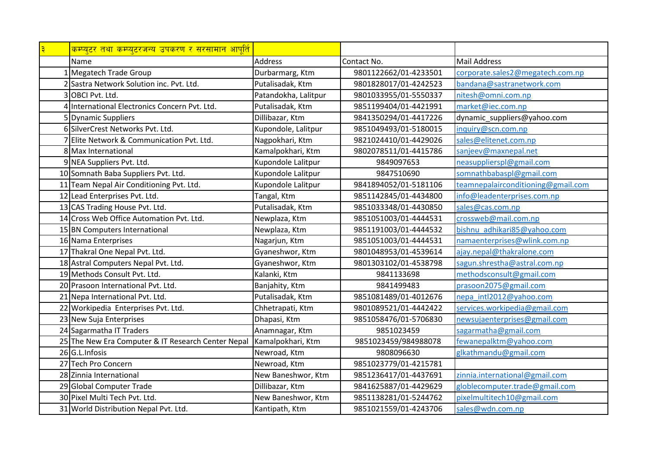| $\overline{\mathbf{3}}$ | <u>कम्प्युटर तथा कम्प्युटरजन्य उपकरण र सरसामान आपति</u> |                      |                       |                                    |
|-------------------------|---------------------------------------------------------|----------------------|-----------------------|------------------------------------|
|                         | Name                                                    | <b>Address</b>       | Contact No.           | <b>Mail Address</b>                |
|                         | Megatech Trade Group                                    | Durbarmarg, Ktm      | 9801122662/01-4233501 | corporate.sales2@megatech.com.np   |
|                         | Sastra Network Solution inc. Pvt. Ltd.                  | Putalisadak, Ktm     | 9801828017/01-4242523 | bandana@sastranetwork.com          |
|                         | 3 OBCI Pvt. Ltd.                                        | Patandokha, Lalitpur | 9801033955/01-5550337 | nitesh@omni.com.np                 |
|                         | 4 International Electronics Concern Pvt. Ltd.           | Putalisadak, Ktm     | 9851199404/01-4421991 | market@iec.com.np                  |
|                         | 5 Dynamic Suppliers                                     | Dillibazar, Ktm      | 9841350294/01-4417226 | dynamic_suppliers@yahoo.com        |
|                         | 6 SilverCrest Networks Pvt. Ltd.                        | Kupondole, Lalitpur  | 9851049493/01-5180015 | inquiry@scn.com.np                 |
|                         | 7 Elite Network & Communication Pvt. Ltd.               | Nagpokhari, Ktm      | 9821024410/01-4429026 | sales@elitenet.com.np              |
|                         | 8 Max International                                     | Kamalpokhari, Ktm    | 9802078511/01-4415786 | sanjeev@maxnepal.net               |
|                         | 9 NEA Suppliers Pvt. Ltd.                               | Kupondole Lalitpur   | 9849097653            | neasupplierspl@gmail.com           |
|                         | 10 Somnath Baba Suppliers Pvt. Ltd.                     | Kupondole Lalitpur   | 9847510690            | somnathbabaspl@gmail.com           |
|                         | 11 Team Nepal Air Conditioning Pvt. Ltd.                | Kupondole Lalitpur   | 9841894052/01-5181106 | teamnepalairconditioning@gmail.com |
|                         | 12 Lead Enterprises Pvt. Ltd.                           | Tangal, Ktm          | 9851142845/01-4434800 | info@leadenterprises.com.np        |
|                         | 13 CAS Trading House Pvt. Ltd.                          | Putalisadak, Ktm     | 9851033348/01-4430850 | sales@cas.com.np                   |
|                         | 14 Cross Web Office Automation Pyt. Ltd.                | Newplaza, Ktm        | 9851051003/01-4444531 | crossweb@mail.com.np               |
|                         | 15 BN Computers International                           | Newplaza, Ktm        | 9851191003/01-4444532 | bishnu adhikari85@yahoo.com        |
|                         | 16 Nama Enterprises                                     | Nagarjun, Ktm        | 9851051003/01-4444531 | namaenterprises@wlink.com.np       |
|                         | 17 Thakral One Nepal Pvt. Ltd.                          | Gyaneshwor, Ktm      | 9801048953/01-4539614 | ajay.nepal@thakralone.com          |
|                         | 18 Astral Computers Nepal Pvt. Ltd.                     | Gyaneshwor, Ktm      | 9801303102/01-4538798 | sagun.shrestha@astral.com.np       |
|                         | 19 Methods Consult Pvt. Ltd.                            | Kalanki, Ktm         | 9841133698            | methodsconsult@gmail.com           |
|                         | 20 Prasoon International Pvt. Ltd.                      | Banjahity, Ktm       | 9841499483            | prasoon2075@gmail.com              |
|                         | 21 Nepa International Pvt. Ltd.                         | Putalisadak, Ktm     | 9851081489/01-4012676 | nepa intl2012@yahoo.com            |
|                         | 22 Workipedia Enterprises Pvt. Ltd.                     | Chhetrapati, Ktm     | 9801089521/01-4442422 | services.workipedia@gmail.com      |
|                         | 23 New Suja Enterprises                                 | Dhapasi, Ktm         | 9851058476/01-5706830 | newsujaenterprises@gmail.com       |
|                         | 24 Sagarmatha IT Traders                                | Anamnagar, Ktm       | 9851023459            | sagarmatha@gmail.com               |
|                         | 25 The New Era Computer & IT Research Center Nepal      | Kamalpokhari, Ktm    | 9851023459/984988078  | fewanepalktm@yahoo.com             |
|                         | 26 G.L.Infosis                                          | Newroad, Ktm         | 9808096630            | glkathmandu@gmail.com              |
|                         | 27 Tech Pro Concern                                     | Newroad, Ktm         | 9851023779/01-4215781 |                                    |
|                         | 28 Zinnia International                                 | New Baneshwor, Ktm   | 9851236417/01-4437691 | zinnia.international@gmail.com     |
|                         | 29 Global Computer Trade                                | Dillibazar, Ktm      | 9841625887/01-4429629 | globlecomputer.trade@gmail.com     |
|                         | 30 Pixel Multi Tech Pvt. Ltd.                           | New Baneshwor, Ktm   | 9851138281/01-5244762 | pixelmultitech10@gmail.com         |
|                         | 31 World Distribution Nepal Pvt. Ltd.                   | Kantipath, Ktm       | 9851021559/01-4243706 | sales@wdn.com.np                   |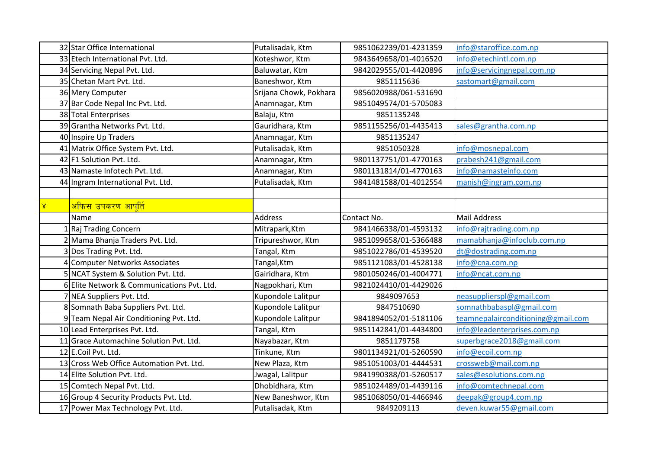|           | 32 Star Office International               | Putalisadak, Ktm       | 9851062239/01-4231359 | info@staroffice.com.np             |
|-----------|--------------------------------------------|------------------------|-----------------------|------------------------------------|
|           | 33 Etech International Pvt. Ltd.           | Koteshwor, Ktm         | 9843649658/01-4016520 | info@etechintl.com.np              |
|           | 34 Servicing Nepal Pvt. Ltd.               | Baluwatar, Ktm         | 9842029555/01-4420896 | info@servicingnepal.com.np         |
|           | 35 Chetan Mart Pvt. Ltd.                   | Baneshwor, Ktm         | 9851115636            | sastomart@gmail.com                |
|           | 36 Mery Computer                           | Srijana Chowk, Pokhara | 9856020988/061-531690 |                                    |
|           | 37 Bar Code Nepal Inc Pvt. Ltd.            | Anamnagar, Ktm         | 9851049574/01-5705083 |                                    |
|           | 38 Total Enterprises                       | Balaju, Ktm            | 9851135248            |                                    |
|           | 39 Grantha Networks Pvt. Ltd.              | Gauridhara, Ktm        | 9851155256/01-4435413 | sales@grantha.com.np               |
|           | 40 Inspire Up Traders                      | Anamnagar, Ktm         | 9851135247            |                                    |
|           | 41 Matrix Office System Pvt. Ltd.          | Putalisadak, Ktm       | 9851050328            | info@mosnepal.com                  |
|           | 42 F1 Solution Pvt. Ltd.                   | Anamnagar, Ktm         | 9801137751/01-4770163 | prabesh241@gmail.com               |
|           | 43 Namaste Infotech Pvt. Ltd.              | Anamnagar, Ktm         | 9801131814/01-4770163 | info@namasteinfo.com               |
|           | 44 Ingram International Pvt. Ltd.          | Putalisadak, Ktm       | 9841481588/01-4012554 | manish@ingram.com.np               |
|           |                                            |                        |                       |                                    |
| $\propto$ | <u>अफिस उपकरण आपूर्ति</u>                  |                        |                       |                                    |
|           | Name                                       | <b>Address</b>         | Contact No.           | <b>Mail Address</b>                |
|           | 1 Raj Trading Concern                      | Mitrapark, Ktm         | 9841466338/01-4593132 | info@rajtrading.com.np             |
|           | 2 Mama Bhanja Traders Pvt. Ltd.            | Tripureshwor, Ktm      | 9851099658/01-5366488 | mamabhanja@infoclub.com.np         |
|           | Dos Trading Pvt. Ltd.                      | Tangal, Ktm            | 9851022786/01-4539520 | dt@dostrading.com.np               |
| 4         | Computer Networks Associates               | Tangal, Ktm            | 9851121083/01-4528138 | info@cna.com.np                    |
|           | 5 NCAT System & Solution Pvt. Ltd.         | Gairidhara, Ktm        | 9801050246/01-4004771 | info@ncat.com.np                   |
|           | 6 Elite Network & Communications Pvt. Ltd. | Nagpokhari, Ktm        | 9821024410/01-4429026 |                                    |
|           | 7 NEA Suppliers Pvt. Ltd.                  | Kupondole Lalitpur     | 9849097653            | neasupplierspl@gmail.com           |
|           | 8 Somnath Baba Suppliers Pvt. Ltd.         | Kupondole Lalitpur     | 9847510690            | somnathbabaspl@gmail.com           |
|           | 9 Team Nepal Air Conditioning Pvt. Ltd.    | Kupondole Lalitpur     | 9841894052/01-5181106 | teamnepalairconditioning@gmail.com |
|           | 10 Lead Enterprises Pvt. Ltd.              | Tangal, Ktm            | 9851142841/01-4434800 | info@leadenterprises.com.np        |
|           | 11 Grace Automachine Solution Pvt. Ltd.    | Nayabazar, Ktm         | 9851179758            | superbgrace2018@gmail.com          |
|           | 12 E.Coil Pvt. Ltd.                        | Tinkune, Ktm           | 9801134921/01-5260590 | info@ecoil.com.np                  |
|           | 13 Cross Web Office Automation Pvt. Ltd.   | New Plaza, Ktm         | 9851051003/01-4444531 | crossweb@mail.com.np               |
|           | 14 Elite Solution Pvt. Ltd.                | Jwagal, Lalitpur       | 9841990388/01-5260517 | sales@esolutions.com.np            |
|           | 15 Comtech Nepal Pvt. Ltd.                 | Dhobidhara, Ktm        | 9851024489/01-4439116 | info@comtechnepal.com              |
|           | 16 Group 4 Security Products Pvt. Ltd.     | New Baneshwor, Ktm     | 9851068050/01-4466946 | deepak@group4.com.np               |
|           | 17 Power Max Technology Pvt. Ltd.          | Putalisadak, Ktm       | 9849209113            | deven.kuwar55@gmail.com            |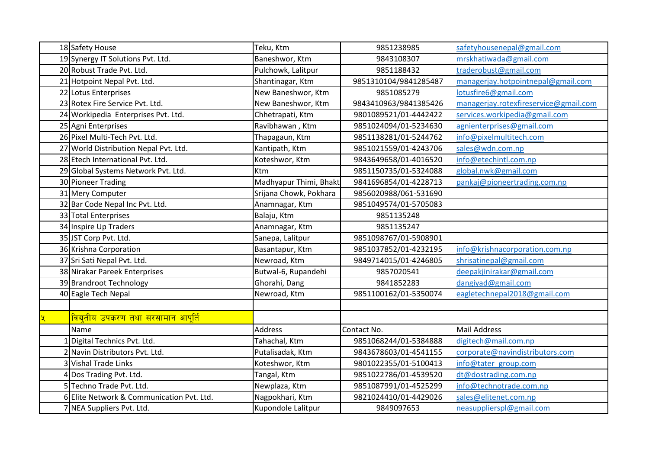|  | 18 Safety House                           | Teku, Ktm              | 9851238985            | safetyhousenepal@gmail.com            |
|--|-------------------------------------------|------------------------|-----------------------|---------------------------------------|
|  | 19 Synergy IT Solutions Pvt. Ltd.         | Baneshwor, Ktm         | 9843108307            | mrskhatiwada@gmail.com                |
|  | 20 Robust Trade Pvt. Ltd.                 | Pulchowk, Lalitpur     | 9851188432            | traderobust@gmail.com                 |
|  | 21 Hotpoint Nepal Pvt. Ltd.               | Shantinagar, Ktm       | 9851310104/9841285487 | managerjay.hotpointnepal@gmail.com    |
|  | 22 Lotus Enterprises                      | New Baneshwor, Ktm     | 9851085279            | lotusfire6@gmail.com                  |
|  | 23 Rotex Fire Service Pvt. Ltd.           | New Baneshwor, Ktm     | 9843410963/9841385426 | managerjay.rotexfireservice@gmail.com |
|  | 24 Workipedia Enterprises Pvt. Ltd.       | Chhetrapati, Ktm       | 9801089521/01-4442422 | services.workipedia@gmail.com         |
|  | 25 Agni Enterprises                       | Ravibhawan, Ktm        | 9851024094/01-5234630 | agnienterprises@gmail.com             |
|  | 26 Pixel Multi-Tech Pvt. Ltd.             | Thapagaun, Ktm         | 9851138281/01-5244762 | info@pixelmultitech.com               |
|  | 27 World Distribution Nepal Pvt. Ltd.     | Kantipath, Ktm         | 9851021559/01-4243706 | sales@wdn.com.np                      |
|  | 28 Etech International Pvt. Ltd.          | Koteshwor, Ktm         | 9843649658/01-4016520 | info@etechintl.com.np                 |
|  | 29 Global Systems Network Pvt. Ltd.       | Ktm                    | 9851150735/01-5324088 | global.nwk@gmail.com                  |
|  | 30 Pioneer Trading                        | Madhyapur Thimi, Bhakt | 9841696854/01-4228713 | pankaj@pioneertrading.com.np          |
|  | 31 Mery Computer                          | Srijana Chowk, Pokhara | 9856020988/061-531690 |                                       |
|  | 32 Bar Code Nepal Inc Pvt. Ltd.           | Anamnagar, Ktm         | 9851049574/01-5705083 |                                       |
|  | 33 Total Enterprises                      | Balaju, Ktm            | 9851135248            |                                       |
|  | 34 Inspire Up Traders                     | Anamnagar, Ktm         | 9851135247            |                                       |
|  | 35 JST Corp Pvt. Ltd.                     | Sanepa, Lalitpur       | 9851098767/01-5908901 |                                       |
|  | 36 Krishna Corporation                    | Basantapur, Ktm        | 9851037852/01-4232195 | info@krishnacorporation.com.np        |
|  | 37 Sri Sati Nepal Pvt. Ltd.               | Newroad, Ktm           | 9849714015/01-4246805 | shrisatinepal@gmail.com               |
|  | 38 Nirakar Pareek Enterprises             | Butwal-6, Rupandehi    | 9857020541            | deepakjinirakar@gmail.com             |
|  | 39 Brandroot Technology                   | Ghorahi, Dang          | 9841852283            | dangiyad@gmail.com                    |
|  | 40 Eagle Tech Nepal                       | Newroad, Ktm           | 9851100162/01-5350074 | eagletechnepal2018@gmail.com          |
|  |                                           |                        |                       |                                       |
|  | विद्युतीय उपकरण तथा सरसामान आपूर्ति       |                        |                       |                                       |
|  | Name                                      | <b>Address</b>         | Contact No.           | <b>Mail Address</b>                   |
|  | Digital Technics Pvt. Ltd.                | Tahachal, Ktm          | 9851068244/01-5384888 | digitech@mail.com.np                  |
|  | Navin Distributors Pvt. Ltd.              | Putalisadak, Ktm       | 9843678603/01-4541155 | corporate@navindistributors.com       |
|  | 3 Vishal Trade Links                      | Koteshwor, Ktm         | 9801022355/01-5100413 | info@tater group.com                  |
|  | 4 Dos Trading Pvt. Ltd.                   | Tangal, Ktm            | 9851022786/01-4539520 | dt@dostrading.com.np                  |
|  | 5 Techno Trade Pvt. Ltd.                  | Newplaza, Ktm          | 9851087991/01-4525299 | info@technotrade.com.np               |
|  | 6 Elite Network & Communication Pvt. Ltd. | Nagpokhari, Ktm        | 9821024410/01-4429026 | sales@elitenet.com.np                 |
|  | 7 NEA Suppliers Pvt. Ltd.                 | Kupondole Lalitpur     | 9849097653            | neasupplierspl@gmail.com              |
|  |                                           |                        |                       |                                       |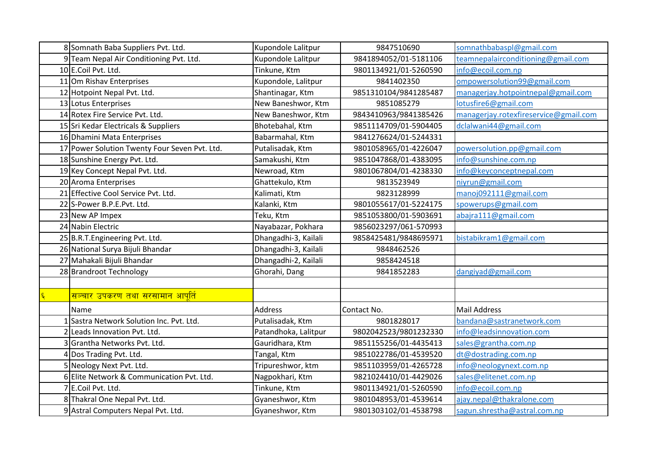| 8 Somnath Baba Suppliers Pvt. Ltd.            | Kupondole Lalitpur   | 9847510690            | somnathbabaspl@gmail.com              |
|-----------------------------------------------|----------------------|-----------------------|---------------------------------------|
| 9 Team Nepal Air Conditioning Pvt. Ltd.       | Kupondole Lalitpur   | 9841894052/01-5181106 | teamnepalairconditioning@gmail.com    |
| 10 E.Coil Pvt. Ltd.                           | Tinkune, Ktm         | 9801134921/01-5260590 | info@ecoil.com.np                     |
| 11 Om Rishav Enterprises                      | Kupondole, Lalitpur  | 9841402350            | ompowersolution99@gmail.com           |
| 12 Hotpoint Nepal Pvt. Ltd.                   | Shantinagar, Ktm     | 9851310104/9841285487 | managerjay.hotpointnepal@gmail.com    |
| 13 Lotus Enterprises                          | New Baneshwor, Ktm   | 9851085279            | lotusfire6@gmail.com                  |
| 14 Rotex Fire Service Pvt. Ltd.               | New Baneshwor, Ktm   | 9843410963/9841385426 | managerjay.rotexfireservice@gmail.com |
| 15 Sri Kedar Electricals & Suppliers          | Bhotebahal, Ktm      | 9851114709/01-5904405 | dclalwani44@gmail.com                 |
| 16 Dhamini Mata Enterprises                   | Babarmahal, Ktm      | 9841276624/01-5244331 |                                       |
| 17 Power Solution Twenty Four Seven Pvt. Ltd. | Putalisadak, Ktm     | 9801058965/01-4226047 | powersolution.pp@gmail.com            |
| 18 Sunshine Energy Pvt. Ltd.                  | Samakushi, Ktm       | 9851047868/01-4383095 | info@sunshine.com.np                  |
| 19 Key Concept Nepal Pvt. Ltd.                | Newroad, Ktm         | 9801067804/01-4238330 | info@keyconceptnepal.com              |
| 20 Aroma Enterprises                          | Ghattekulo, Ktm      | 9813523949            | niyrun@gmail.com                      |
| 21 Effective Cool Service Pvt. Ltd.           | Kalimati, Ktm        | 9823128999            | manoj092111@gmail.com                 |
| 22 S-Power B.P.E.Pvt. Ltd.                    | Kalanki, Ktm         | 9801055617/01-5224175 | spowerups@gmail.com                   |
| 23 New AP Impex                               | Teku, Ktm            | 9851053800/01-5903691 | abajra111@gmail.com                   |
| 24 Nabin Electric                             | Nayabazar, Pokhara   | 9856023297/061-570993 |                                       |
| 25 B.R.T.Engineering Pvt. Ltd.                | Dhangadhi-3, Kailali | 9858425481/9848695971 | bistabikram1@gmail.com                |
| 26 National Surya Bijuli Bhandar              | Dhangadhi-3, Kailali | 9848462526            |                                       |
| 27 Mahakali Bijuli Bhandar                    | Dhangadhi-2, Kailali | 9858424518            |                                       |
| 28 Brandroot Technology                       | Ghorahi, Dang        | 9841852283            | dangiyad@gmail.com                    |
|                                               |                      |                       |                                       |
| <u>सञ्चार उपकरण तथा सरसामान आपूर्ति</u>       |                      |                       |                                       |
| Name                                          | <b>Address</b>       | Contact No.           | <b>Mail Address</b>                   |
| Sastra Network Solution Inc. Pvt. Ltd.        | Putalisadak, Ktm     | 9801828017            | bandana@sastranetwork.com             |
| Leads Innovation Pvt. Ltd.                    | Patandhoka, Lalitpur | 9802042523/9801232330 | info@leadsinnovation.com              |
| Grantha Networks Pvt. Ltd.                    | Gauridhara, Ktm      | 9851155256/01-4435413 | sales@grantha.com.np                  |
| Dos Trading Pvt. Ltd.                         | Tangal, Ktm          | 9851022786/01-4539520 | dt@dostrading.com.np                  |
| 5 Neology Next Pvt. Ltd.                      | Tripureshwor, ktm    | 9851103959/01-4265728 | info@neologynext.com.np               |
| 6 Elite Network & Communication Pvt. Ltd.     | Nagpokhari, Ktm      | 9821024410/01-4429026 | sales@elitenet.com.np                 |
| 7 E.Coil Pvt. Ltd.                            | Tinkune, Ktm         | 9801134921/01-5260590 | info@ecoil.com.np                     |
| 8 Thakral One Nepal Pvt. Ltd.                 | Gyaneshwor, Ktm      | 9801048953/01-4539614 | ajay.nepal@thakralone.com             |
| 9 Astral Computers Nepal Pvt. Ltd.            | Gyaneshwor, Ktm      | 9801303102/01-4538798 | sagun.shrestha@astral.com.np          |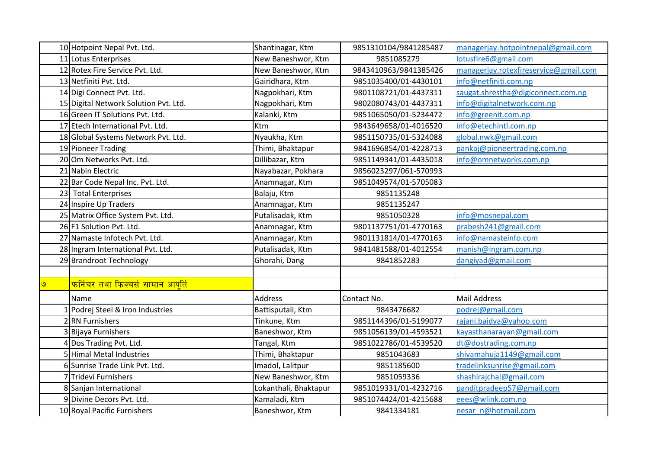|         | 10 Hotpoint Nepal Pvt. Ltd.                     | Shantinagar, Ktm      | 9851310104/9841285487 | managerjay.hotpointnepal@gmail.com    |
|---------|-------------------------------------------------|-----------------------|-----------------------|---------------------------------------|
|         | 11 Lotus Enterprises                            | New Baneshwor, Ktm    | 9851085279            | lotusfire6@gmail.com                  |
|         | 12 Rotex Fire Service Pvt. Ltd.                 | New Baneshwor, Ktm    | 9843410963/9841385426 | managerjay.rotexfireservice@gmail.com |
|         | 13 Netfiniti Pvt. Ltd.                          | Gairidhara, Ktm       | 9851035400/01-4430101 | info@netfiniti.com.np                 |
|         | 14 Digi Connect Pvt. Ltd.                       | Nagpokhari, Ktm       | 9801108721/01-4437311 | saugat.shrestha@digiconnect.com.np    |
|         | 15 Digital Network Solution Pvt. Ltd.           | Nagpokhari, Ktm       | 9802080743/01-4437311 | info@digitalnetwork.com.np            |
|         | 16 Green IT Solutions Pvt. Ltd.                 | Kalanki, Ktm          | 9851065050/01-5234472 | info@greenit.com.np                   |
|         | 17 Etech International Pvt. Ltd.                | Ktm                   | 9843649658/01-4016520 | info@etechintl.com.np                 |
|         | 18 Global Systems Network Pvt. Ltd.             | Nyaukha, Ktm          | 9851150735/01-5324088 | global.nwk@gmail.com                  |
|         | 19 Pioneer Trading                              | Thimi, Bhaktapur      | 9841696854/01-4228713 | pankaj@pioneertrading.com.np          |
|         | 20 Om Networks Pvt. Ltd.                        | Dillibazar, Ktm       | 9851149341/01-4435018 | info@omnetworks.com.np                |
|         | 21 Nabin Electric                               | Nayabazar, Pokhara    | 9856023297/061-570993 |                                       |
|         | 22 Bar Code Nepal Inc. Pvt. Ltd.                | Anamnagar, Ktm        | 9851049574/01-5705083 |                                       |
|         | 23 Total Enterprises                            | Balaju, Ktm           | 9851135248            |                                       |
|         | 24 Inspire Up Traders                           | Anamnagar, Ktm        | 9851135247            |                                       |
|         | 25 Matrix Office System Pvt. Ltd.               | Putalisadak, Ktm      | 9851050328            | info@mosnepal.com                     |
|         | 26 F1 Solution Pvt. Ltd.                        | Anamnagar, Ktm        | 9801137751/01-4770163 | prabesh241@gmail.com                  |
|         | 27 Namaste Infotech Pvt. Ltd.                   | Anamnagar, Ktm        | 9801131814/01-4770163 | info@namasteinfo.com                  |
|         | 28 Ingram International Pvt. Ltd.               | Putalisadak, Ktm      | 9841481588/01-4012554 | manish@ingram.com.np                  |
|         | 29 Brandroot Technology                         | Ghorahi, Dang         | 9841852283            | dangiyad@gmail.com                    |
|         |                                                 |                       |                       |                                       |
| $\circ$ | <mark>फर्निचर तथा फिक्चर्स सामान आपूर्ति</mark> |                       |                       |                                       |
|         | Name                                            | <b>Address</b>        | Contact No.           | <b>Mail Address</b>                   |
|         | Podrej Steel & Iron Industries                  | Battisputali, Ktm     | 9843476682            | podrej@gmail.com                      |
|         | 2RN Furnishers                                  | Tinkune, Ktm          | 9851144396/01-5199077 | rajani.baidya@yahoo.com               |
|         | Bijaya Furnishers                               | Baneshwor, Ktm        | 9851056139/01-4593521 | kayasthanarayan@gmail.com             |
|         | Dos Trading Pvt. Ltd.                           | Tangal, Ktm           | 9851022786/01-4539520 | dt@dostrading.com.np                  |
|         | 5 Himal Metal Industries                        | Thimi, Bhaktapur      | 9851043683            | shivamahuja1149@gmail.com             |
|         | 6 Sunrise Trade Link Pvt. Ltd.                  | Imadol, Lalitpur      | 9851185600            | tradelinksunrise@gmail.com            |
|         | 7 Tridevi Furnishers                            | New Baneshwor, Ktm    | 9851059336            | shashirajchal@gmail.com               |
|         | 8 Sanjan International                          | Lokanthali, Bhaktapur | 9851019331/01-4232716 | panditpradeep57@gmail.com             |
|         | 9 Divine Decors Pvt. Ltd.                       | Kamaladi, Ktm         | 9851074424/01-4215688 | eees@wlink.com.np                     |
|         | 10 Royal Pacific Furnishers                     | Baneshwor, Ktm        | 9841334181            | nesar n@hotmail.com                   |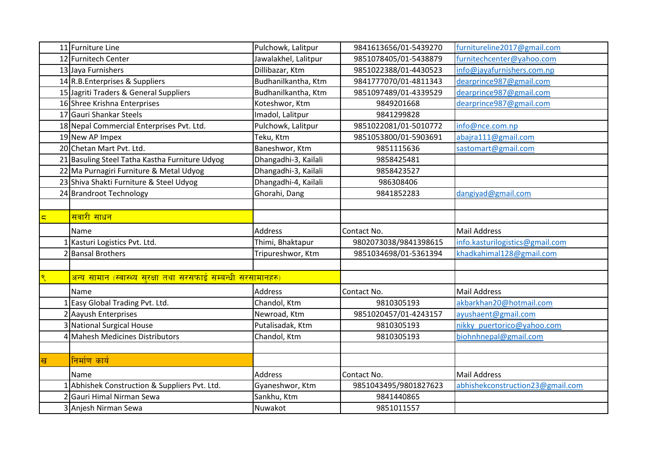|                | 11 Furniture Line                                                    | Pulchowk, Lalitpur   | 9841613656/01-5439270 | furnitureline2017@gmail.com      |
|----------------|----------------------------------------------------------------------|----------------------|-----------------------|----------------------------------|
|                | 12 Furnitech Center                                                  | Jawalakhel, Lalitpur | 9851078405/01-5438879 | furnitechcenter@yahoo.com        |
|                | 13 Jaya Furnishers                                                   | Dillibazar, Ktm      | 9851022388/01-4430523 | info@jayafurnishers.com.np       |
|                | 14 R.B. Enterprises & Suppliers                                      | Budhanilkantha, Ktm  | 9841777070/01-4811343 | dearprince987@gmail.com          |
|                | 15 Jagriti Traders & General Suppliers                               | Budhanilkantha, Ktm  | 9851097489/01-4339529 | dearprince987@gmail.com          |
|                | 16 Shree Krishna Enterprises                                         | Koteshwor, Ktm       | 9849201668            | dearprince987@gmail.com          |
|                | 17 Gauri Shankar Steels                                              | Imadol, Lalitpur     | 9841299828            |                                  |
|                | 18 Nepal Commercial Enterprises Pvt. Ltd.                            | Pulchowk, Lalitpur   | 9851022081/01-5010772 | info@nce.com.np                  |
|                | 19 New AP Impex                                                      | Teku, Ktm            | 9851053800/01-5903691 | abajra111@gmail.com              |
|                | 20 Chetan Mart Pvt. Ltd.                                             | Baneshwor, Ktm       | 9851115636            | sastomart@gmail.com              |
|                | 21 Basuling Steel Tatha Kastha Furniture Udyog                       | Dhangadhi-3, Kailali | 9858425481            |                                  |
|                | 22 Ma Purnagiri Furniture & Metal Udyog                              | Dhangadhi-3, Kailali | 9858423527            |                                  |
|                | 23 Shiva Shakti Furniture & Steel Udyog                              | Dhangadhi-4, Kailali | 986308406             |                                  |
|                | 24 Brandroot Technology                                              | Ghorahi, Dang        | 9841852283            | dangiyad@gmail.com               |
|                |                                                                      |                      |                       |                                  |
| $\overline{5}$ | <mark>सवारी साधन</mark>                                              |                      |                       |                                  |
|                | Name                                                                 | <b>Address</b>       | Contact No.           | <b>Mail Address</b>              |
|                | Kasturi Logistics Pvt. Ltd.                                          | Thimi, Bhaktapur     | 9802073038/9841398615 | info.kasturilogistics@gmail.com  |
|                |                                                                      |                      |                       |                                  |
|                | <b>Bansal Brothers</b>                                               | Tripureshwor, Ktm    | 9851034698/01-5361394 | khadkahimal128@gmail.com         |
|                |                                                                      |                      |                       |                                  |
|                | <u>अन्य सामान (स्वास्थ्य सुरक्षा तथा सरसफाई सम्बन्धी सरसामानहरु)</u> |                      |                       |                                  |
|                | Name                                                                 | <b>Address</b>       | Contact No.           | <b>Mail Address</b>              |
|                | Easy Global Trading Pvt. Ltd.                                        | Chandol, Ktm         | 9810305193            | akbarkhan20@hotmail.com          |
|                | 2 Aayush Enterprises                                                 | Newroad, Ktm         | 9851020457/01-4243157 | ayushaent@gmail.com              |
|                | 3 National Surgical House                                            | Putalisadak, Ktm     | 9810305193            | nikky puertorico@yahoo.com       |
|                | 4 Mahesh Medicines Distributors                                      | Chandol, Ktm         | 9810305193            | biohnhnepal@gmail.com            |
|                |                                                                      |                      |                       |                                  |
| ख              | निर्माण कार्य                                                        |                      |                       |                                  |
|                | Name                                                                 | <b>Address</b>       | Contact No.           | <b>Mail Address</b>              |
|                | Abhishek Construction & Suppliers Pvt. Ltd.                          | Gyaneshwor, Ktm      | 9851043495/9801827623 | abhishekconstruction23@gmail.com |
|                | <b>l</b> Gauri Himal Nirman Sewa                                     | Sankhu, Ktm          | 9841440865            |                                  |
|                | 3 Anjesh Nirman Sewa                                                 | Nuwakot              | 9851011557            |                                  |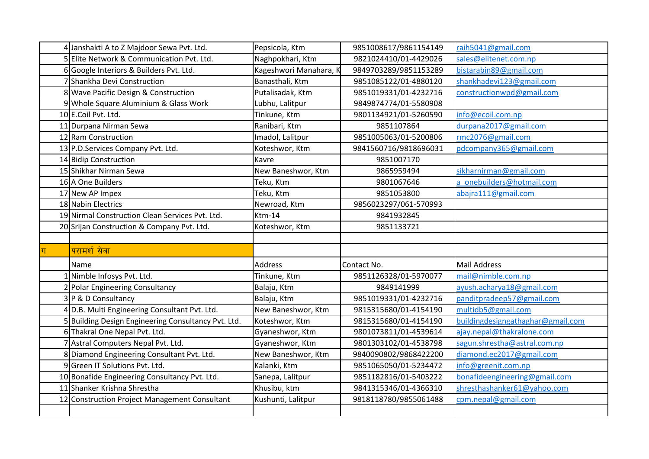|                | 4 Janshakti A to Z Majdoor Sewa Pvt. Ltd.           | Pepsicola, Ktm         | 9851008617/9861154149 | raih5041@gmail.com                |
|----------------|-----------------------------------------------------|------------------------|-----------------------|-----------------------------------|
|                | 5 Elite Network & Communication Pvt. Ltd.           | Naghpokhari, Ktm       | 9821024410/01-4429026 | sales@elitenet.com.np             |
|                | 6 Google Interiors & Builders Pvt. Ltd.             | Kageshwori Manahara, K | 9849703289/9851153289 | bistarabin89@gmail.com            |
|                | 7 Shankha Devi Construction                         | Banasthali, Ktm        | 9851085122/01-4880120 | shankhadevi123@gmail.com          |
|                | 8 Wave Pacific Design & Construction                | Putalisadak, Ktm       | 9851019331/01-4232716 | constructionwpd@gmail.com         |
|                | 9 Whole Square Aluminium & Glass Work               | Lubhu, Lalitpur        | 9849874774/01-5580908 |                                   |
|                | 10 E.Coil Pvt. Ltd.                                 | Tinkune, Ktm           | 9801134921/01-5260590 | info@ecoil.com.np                 |
|                | 11 Durpana Nirman Sewa                              | Ranibari, Ktm          | 9851107864            | durpana2017@gmail.com             |
|                | 12 Ram Construction                                 | Imadol, Lalitpur       | 9851005063/01-5200806 | rmc2076@gmail.com                 |
|                | 13 P.D. Services Company Pvt. Ltd.                  | Koteshwor, Ktm         | 9841560716/9818696031 | pdcompany365@gmail.com            |
|                | 14 Bidip Construction                               | Kavre                  | 9851007170            |                                   |
|                | 15 Shikhar Nirman Sewa                              | New Baneshwor, Ktm     | 9865959494            | sikharnirman@gmail.com            |
|                | 16 A One Builders                                   | Teku, Ktm              | 9801067646            | a onebuilders@hotmail.com         |
|                | 17 New AP Impex                                     | Teku, Ktm              | 9851053800            | abajra111@gmail.com               |
|                | 18 Nabin Electrics                                  | Newroad, Ktm           | 9856023297/061-570993 |                                   |
|                | 19 Nirmal Construction Clean Services Pvt. Ltd.     | $Ktm-14$               | 9841932845            |                                   |
|                | 20 Srijan Construction & Company Pvt. Ltd.          | Koteshwor, Ktm         | 9851133721            |                                   |
|                |                                                     |                        |                       |                                   |
|                |                                                     |                        |                       |                                   |
|                | परामर्श सेवा                                        |                        |                       |                                   |
|                | Name                                                | <b>Address</b>         | Contact No.           | <b>Mail Address</b>               |
|                | 1 Nimble Infosys Pvt. Ltd.                          | Tinkune, Ktm           | 9851126328/01-5970077 | mail@nimble.com.np                |
|                | 2 Polar Engineering Consultancy                     | Balaju, Ktm            | 9849141999            | ayush.acharya18@gmail.com         |
|                | 3 P & D Consultancy                                 | Balaju, Ktm            | 9851019331/01-4232716 | panditpradeep57@gmail.com         |
|                | 4 D.B. Multi Engineering Consultant Pvt. Ltd.       | New Baneshwor, Ktm     | 9815315680/01-4154190 | multidb5@gmail.com                |
|                | 5 Building Design Engineering Consultancy Pvt. Ltd. | Koteshwor, Ktm         | 9815315680/01-4154190 | buildingdesigngathaghar@gmail.com |
| $ \mathbf{t} $ | 6 Thakral One Nepal Pvt. Ltd.                       | Gyaneshwor, Ktm        | 9801073811/01-4539614 | ajay.nepal@thakralone.com         |
|                | 7 Astral Computers Nepal Pvt. Ltd.                  | Gyaneshwor, Ktm        | 9801303102/01-4538798 | sagun.shrestha@astral.com.np      |
|                | 8 Diamond Engineering Consultant Pvt. Ltd.          | New Baneshwor, Ktm     | 9840090802/9868422200 | diamond.ec2017@gmail.com          |
|                | 9 Green IT Solutions Pvt. Ltd.                      | Kalanki, Ktm           | 9851065050/01-5234472 | info@greenit.com.np               |
|                | 10 Bonafide Engineering Consultancy Pvt. Ltd.       | Sanepa, Lalitpur       | 9851182816/01-5403222 | bonafideengineering@gmail.com     |
|                | 11 Shanker Krishna Shrestha                         | Khusibu, ktm           | 9841315346/01-4366310 | shresthashanker61@yahoo.com       |
|                | 12 Construction Project Management Consultant       | Kushunti, Lalitpur     | 9818118780/9855061488 | cpm.nepal@gmail.com               |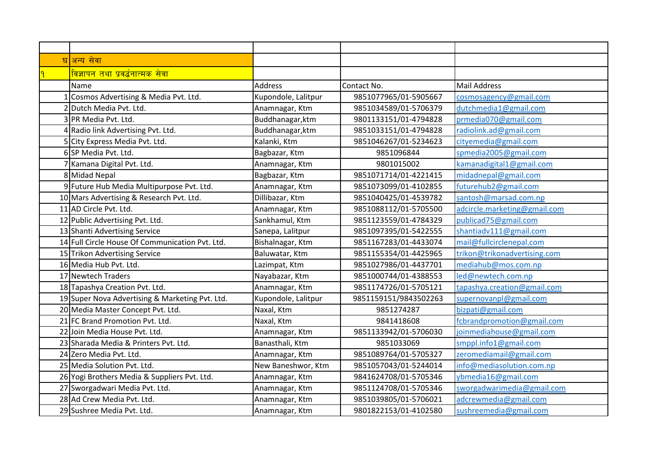| घ अन्य सेवा                                     |                     |                       |                              |
|-------------------------------------------------|---------------------|-----------------------|------------------------------|
| <u>विज्ञापन तथा प्रवर्द्धनात्मक सेवा</u>        |                     |                       |                              |
| Name                                            | <b>Address</b>      | Contact No.           | <b>Mail Address</b>          |
| Cosmos Advertising & Media Pvt. Ltd.            | Kupondole, Lalitpur | 9851077965/01-5905667 | cosmosagency@gmail.com       |
| 2 Dutch Media Pvt. Ltd.                         | Anamnagar, Ktm      | 9851034589/01-5706379 | dutchmedia1@gmail.com        |
| 3 PR Media Pvt. Ltd.                            | Buddhanagar, ktm    | 9801133151/01-4794828 | prmedia070@gmail.com         |
| 4 Radio link Advertising Pvt. Ltd.              | Buddhanagar, ktm    | 9851033151/01-4794828 | radiolink.ad@gmail.com       |
| 5 City Express Media Pvt. Ltd.                  | Kalanki, Ktm        | 9851046267/01-5234623 | cityemedia@gmail.com         |
| 6 SP Media Pvt. Ltd.                            | Bagbazar, Ktm       | 9851096844            | spmedia2005@gmail.com        |
| 7 Kamana Digital Pvt. Ltd.                      | Anamnagar, Ktm      | 9801015002            | kamanadigital1@gmail.com     |
| 8 Midad Nepal                                   | Bagbazar, Ktm       | 9851071714/01-4221415 | midadnepal@gmail.com         |
| 9 Future Hub Media Multipurpose Pvt. Ltd.       | Anamnagar, Ktm      | 9851073099/01-4102855 | futurehub2@gmail.com         |
| 10 Mars Advertising & Research Pvt. Ltd.        | Dillibazar, Ktm     | 9851040425/01-4539782 | santosh@marsad.com.np        |
| 11 AD Circle Pvt. Ltd.                          | Anamnagar, Ktm      | 9851088112/01-5705500 | adcircle.marketing@gmail.com |
| 12 Public Advertising Pvt. Ltd.                 | Sankhamul, Ktm      | 9851123559/01-4784329 | publicad75@gmail.com         |
| 13 Shanti Advertising Service                   | Sanepa, Lalitpur    | 9851097395/01-5422555 | shantiadv111@gmail.com       |
| 14 Full Circle House Of Communication Pvt. Ltd. | Bishalnagar, Ktm    | 9851167283/01-4433074 | mail@fullcirclenepal.com     |
| 15 Trikon Advertising Service                   | Baluwatar, Ktm      | 9851155354/01-4425965 | trikon@trikonadvertising.com |
| 16 Media Hub Pvt. Ltd.                          | Lazimpat, Ktm       | 9851027986/01-4437701 | mediahub@mos.com.np          |
| 17 Newtech Traders                              | Nayabazar, Ktm      | 9851000744/01-4388553 | led@newtech.com.np           |
| 18 Tapashya Creation Pvt. Ltd.                  | Anamnagar, Ktm      | 9851174726/01-5705121 | tapashya.creation@gmail.com  |
| 19 Super Nova Advertising & Marketing Pvt. Ltd. | Kupondole, Lalitpur | 9851159151/9843502263 | supernovanpl@gmail.com       |
| 20 Media Master Concept Pvt. Ltd.               | Naxal, Ktm          | 9851274287            | bizpati@gmail.com            |
| 21 FC Brand Promotion Pvt. Ltd.                 | Naxal, Ktm          | 9841418608            | fcbrandpromotion@gmail.com   |
| 22 Join Media House Pvt. Ltd.                   | Anamnagar, Ktm      | 9851133942/01-5706030 | joinmediahouse@gmail.com     |
| 23 Sharada Media & Printers Pvt. Ltd.           | Banasthali, Ktm     | 9851033069            | smppl.info1@gmail.com        |
| 24 Zero Media Pvt. Ltd.                         | Anamnagar, Ktm      | 9851089764/01-5705327 | zeromediamail@gmail.com      |
| 25 Media Solution Pvt. Ltd.                     | New Baneshwor, Ktm  | 9851057043/01-5244014 | info@mediasolution.com.np    |
| 26 Yogi Brothers Media & Suppliers Pvt. Ltd.    | Anamnagar, Ktm      | 9841624708/01-5705346 | ybmedia16@gmail.com          |
| 27 Sworgadwari Media Pvt. Ltd.                  | Anamnagar, Ktm      | 9851124708/01-5705346 | sworgadwarimedia@gmail.com   |
| 28 Ad Crew Media Pvt. Ltd.                      | Anamnagar, Ktm      | 9851039805/01-5706021 | adcrewmedia@gmail.com        |
| 29 Sushree Media Pvt. Ltd.                      | Anamnagar, Ktm      | 9801822153/01-4102580 | sushreemedia@gmail.com       |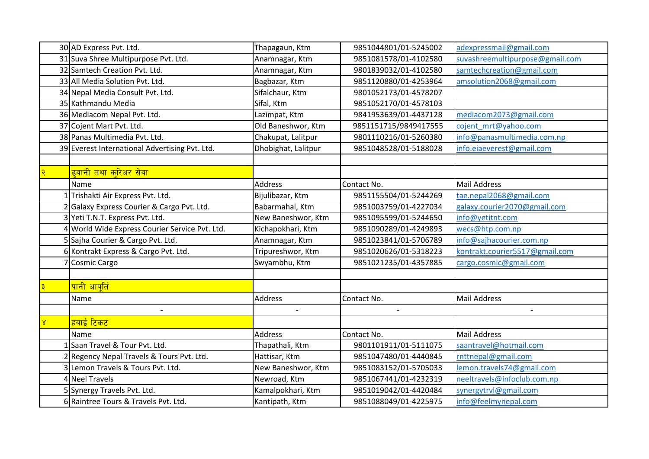|                         | 30 AD Express Pvt. Ltd.                        | Thapagaun, Ktm      | 9851044801/01-5245002 | adexpressmail@gmail.com         |
|-------------------------|------------------------------------------------|---------------------|-----------------------|---------------------------------|
|                         | 31 Suva Shree Multipurpose Pvt. Ltd.           | Anamnagar, Ktm      | 9851081578/01-4102580 | suvashreemultipurpose@gmail.com |
|                         | 32 Samtech Creation Pvt. Ltd.                  | Anamnagar, Ktm      | 9801839032/01-4102580 | samtechcreation@gmail.com       |
|                         | 33 All Media Solution Pvt. Ltd.                | Bagbazar, Ktm       | 9851120880/01-4253964 | amsolution2068@gmail.com        |
|                         | 34 Nepal Media Consult Pvt. Ltd.               | Sifalchaur, Ktm     | 9801052173/01-4578207 |                                 |
|                         | 35 Kathmandu Media                             | Sifal, Ktm          | 9851052170/01-4578103 |                                 |
|                         | 36 Mediacom Nepal Pvt. Ltd.                    | Lazimpat, Ktm       | 9841953639/01-4437128 | mediacom2073@gmail.com          |
|                         | 37 Cojent Mart Pvt. Ltd.                       | Old Baneshwor, Ktm  | 9851151715/9849417555 | cojent mrt@yahoo.com            |
|                         | 38 Panas Multimedia Pvt. Ltd.                  | Chakupat, Lalitpur  | 9801110216/01-5260380 | info@panasmultimedia.com.np     |
|                         | 39 Everest International Advertising Pvt. Ltd. | Dhobighat, Lalitpur | 9851048528/01-5188028 | info.eiaeverest@gmail.com       |
|                         |                                                |                     |                       |                                 |
|                         | <mark>ढ्वानी तथा क्रिअर सेवा</mark>            |                     |                       |                                 |
|                         | Name                                           | Address             | Contact No.           | <b>Mail Address</b>             |
|                         | Trishakti Air Express Pvt. Ltd.                | Bijulibazar, Ktm    | 9851155504/01-5244269 | tae.nepal2068@gmail.com         |
|                         | Galaxy Express Courier & Cargo Pvt. Ltd.       | Babarmahal, Ktm     | 9851003759/01-4227034 | galaxy.courier2070@gmail.com    |
|                         | Yeti T.N.T. Express Pvt. Ltd.                  | New Baneshwor, Ktm  | 9851095599/01-5244650 | info@yetitnt.com                |
|                         | 4 World Wide Express Courier Service Pvt. Ltd. | Kichapokhari, Ktm   | 9851090289/01-4249893 | wecs@htp.com.np                 |
|                         | 5 Sajha Courier & Cargo Pvt. Ltd.              | Anamnagar, Ktm      | 9851023841/01-5706789 | info@sajhacourier.com.np        |
|                         | 6 Kontrakt Express & Cargo Pvt. Ltd.           | Tripureshwor, Ktm   | 9851020626/01-5318223 | kontrakt.courier5517@gmail.com  |
|                         | <b>Cosmic Cargo</b>                            | Swyambhu, Ktm       | 9851021235/01-4357885 | cargo.cosmic@gmail.com          |
|                         |                                                |                     |                       |                                 |
|                         | <mark>पानी आप</mark> ूर्ति                     |                     |                       |                                 |
|                         | Name                                           | Address             | Contact No.           | <b>Mail Address</b>             |
|                         | $\blacksquare$                                 |                     |                       |                                 |
| $\overline{\mathsf{x}}$ | <mark>हवाई टिकट</mark>                         |                     |                       |                                 |
|                         | Name                                           | <b>Address</b>      | Contact No.           | <b>Mail Address</b>             |
|                         | Saan Travel & Tour Pvt. Ltd.                   | Thapathali, Ktm     | 9801101911/01-5111075 | saantravel@hotmail.com          |
|                         | 2 Regency Nepal Travels & Tours Pvt. Ltd.      | Hattisar, Ktm       | 9851047480/01-4440845 | rnttnepal@gmail.com             |
|                         | Lemon Travels & Tours Pvt. Ltd.                | New Baneshwor, Ktm  | 9851083152/01-5705033 | lemon.travels74@gmail.com       |
|                         | 4 Neel Travels                                 | Newroad, Ktm        | 9851067441/01-4232319 | neeltravels@infoclub.com.np     |
|                         | 5 Synergy Travels Pvt. Ltd.                    | Kamalpokhari, Ktm   | 9851019042/01-4420484 | synergytrvl@gmail.com           |
|                         | 6 Raintree Tours & Travels Pvt. Ltd.           | Kantipath, Ktm      | 9851088049/01-4225975 | info@feelmynepal.com            |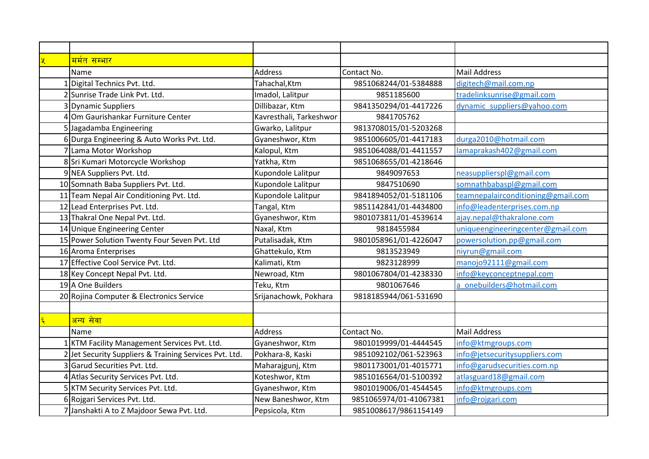| <u>मर्मत सम्भार</u>                                    |                         |                        |                                    |
|--------------------------------------------------------|-------------------------|------------------------|------------------------------------|
| Name                                                   | <b>Address</b>          | Contact No.            | Mail Address                       |
| Digital Technics Pvt. Ltd.                             | Tahachal, Ktm           | 9851068244/01-5384888  | digitech@mail.com.np               |
| 2 Sunrise Trade Link Pvt. Ltd.                         | Imadol, Lalitpur        | 9851185600             | tradelinksunrise@gmail.com         |
| 3 Dynamic Suppliers                                    | Dillibazar, Ktm         | 9841350294/01-4417226  | dynamic suppliers@yahoo.com        |
| Om Gaurishankar Furniture Center                       | Kavresthali, Tarkeshwor | 9841705762             |                                    |
| 5 Jagadamba Engineering                                | Gwarko, Lalitpur        | 9813708015/01-5203268  |                                    |
| 6 Durga Engineering & Auto Works Pvt. Ltd.             | Gyaneshwor, Ktm         | 9851006605/01-4417183  | durga2010@hotmail.com              |
| 7 Lama Motor Workshop                                  | Kalopul, Ktm            | 9851064088/01-4411557  | lamaprakash402@gmail.com           |
| 8 Sri Kumari Motorcycle Workshop                       | Yatkha, Ktm             | 9851068655/01-4218646  |                                    |
| 9 NEA Suppliers Pvt. Ltd.                              | Kupondole Lalitpur      | 9849097653             | neasupplierspl@gmail.com           |
| 10 Somnath Baba Suppliers Pvt. Ltd.                    | Kupondole Lalitpur      | 9847510690             | somnathbabaspl@gmail.com           |
| 11 Team Nepal Air Conditioning Pvt. Ltd.               | Kupondole Lalitpur      | 9841894052/01-5181106  | teamnepalairconditioning@gmail.com |
| 12 Lead Enterprises Pvt. Ltd.                          | Tangal, Ktm             | 9851142841/01-4434800  | info@leadenterprises.com.np        |
| 13 Thakral One Nepal Pvt. Ltd.                         | Gyaneshwor, Ktm         | 9801073811/01-4539614  | ajay.nepal@thakralone.com          |
| 14 Unique Engineering Center                           | Naxal, Ktm              | 9818455984             | uniqueengineeringcenter@gmail.com  |
| 15 Power Solution Twenty Four Seven Pvt. Ltd           | Putalisadak, Ktm        | 9801058961/01-4226047  | powersolution.pp@gmail.com         |
| 16 Aroma Enterprises                                   | Ghattekulo, Ktm         | 9813523949             | niyrun@gmail.com                   |
| 17 Effective Cool Service Pvt. Ltd.                    | Kalimati, Ktm           | 9823128999             | manojo92111@gmail.com              |
| 18 Key Concept Nepal Pvt. Ltd.                         | Newroad, Ktm            | 9801067804/01-4238330  | info@keyconceptnepal.com           |
| 19 A One Builders                                      | Teku, Ktm               | 9801067646             | a onebuilders@hotmail.com          |
| 20 Rojina Computer & Electronics Service               | Srijanachowk, Pokhara   | 9818185944/061-531690  |                                    |
|                                                        |                         |                        |                                    |
| <mark>अन्य सेवा</mark>                                 |                         |                        |                                    |
| Name                                                   | <b>Address</b>          | Contact No.            | <b>Mail Address</b>                |
| KTM Facility Management Services Pvt. Ltd.             | Gyaneshwor, Ktm         | 9801019999/01-4444545  | info@ktmgroups.com                 |
| 2 Jet Security Suppliers & Training Services Pvt. Ltd. | Pokhara-8, Kaski        | 9851092102/061-523963  | info@jetsecuritysuppliers.com      |
| 3 Garud Securities Pvt. Ltd.                           | Maharajgunj, Ktm        | 9801173001/01-4015771  | info@garudsecurities.com.np        |
| 4 Atlas Security Services Pvt. Ltd.                    | Koteshwor, Ktm          | 9851016564/01-5100392  | atlasguard18@gmail.com             |
| 5 KTM Security Services Pvt. Ltd.                      | Gyaneshwor, Ktm         | 9801019006/01-4544545  | info@ktmgroups.com                 |
| 6 Rojgari Services Pvt. Ltd.                           | New Baneshwor, Ktm      | 9851065974/01-41067381 | info@rojgari.com                   |
| 7 Janshakti A to Z Majdoor Sewa Pvt. Ltd.              | Pepsicola, Ktm          | 9851008617/9861154149  |                                    |